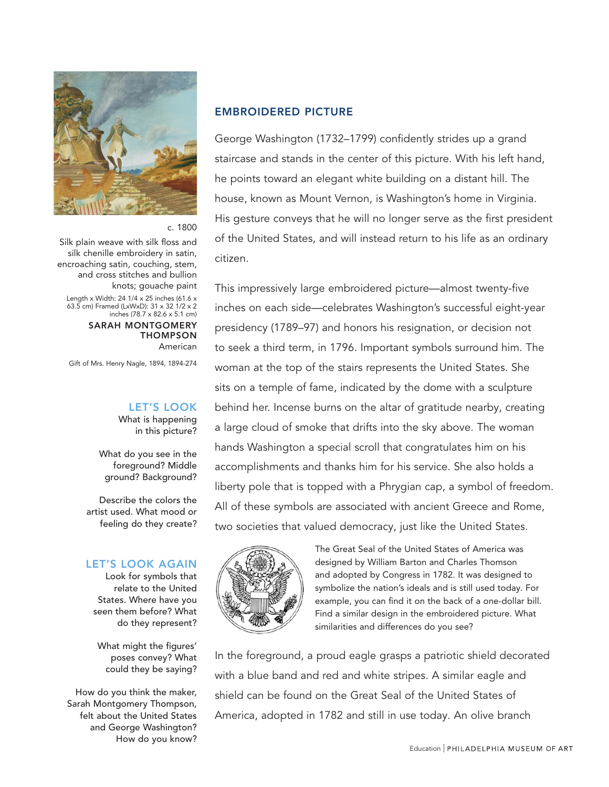

### c. 1800

Silk plain weave with silk floss and silk chenille embroidery in satin, encroaching satin, couching, stem, and cross stitches and bullion knots; gouache paint

Length x Width: 24 1/4 x 25 inches (61.6 x 63.5 cm) Framed (LxWxD): 31 x 32 1/2 x 2 inches (78.7 x 82.6 x 5.1 cm)

> SARAH MONTGOMERY THOMPSON American

Gift of Mrs. Henry Nagle, 1894, 1894-274

# LET'S LOOK

What is happening in this picture?

What do you see in the foreground? Middle ground? Background?

Describe the colors the artist used. What mood or feeling do they create?

#### LET'S LOOK AGAIN

Look for symbols that relate to the United States. Where have you seen them before? What do they represent?

What might the figures' poses convey? What could they be saying?

How do you think the maker, Sarah Montgomery Thompson, felt about the United States and George Washington? How do you know?

### EMBROIDERED PICTURE

George Washington (1732–1799) confidently strides up a grand staircase and stands in the center of this picture. With his left hand, he points toward an elegant white building on a distant hill. The house, known as Mount Vernon, is Washington's home in Virginia. His gesture conveys that he will no longer serve as the first president of the United States, and will instead return to his life as an ordinary citizen.

This impressively large embroidered picture—almost twenty-five inches on each side—celebrates Washington's successful eight-year presidency (1789–97) and honors his resignation, or decision not to seek a third term, in 1796. Important symbols surround him. The woman at the top of the stairs represents the United States. She sits on a temple of fame, indicated by the dome with a sculpture behind her. Incense burns on the altar of gratitude nearby, creating a large cloud of smoke that drifts into the sky above. The woman hands Washington a special scroll that congratulates him on his accomplishments and thanks him for his service. She also holds a liberty pole that is topped with a Phrygian cap, a symbol of freedom. All of these symbols are associated with ancient Greece and Rome, two societies that valued democracy, just like the United States.



The Great Seal of the United States of America was designed by William Barton and Charles Thomson and adopted by Congress in 1782. It was designed to symbolize the nation's ideals and is still used today. For example, you can find it on the back of a one-dollar bill. Find a similar design in the embroidered picture. What similarities and differences do you see?

In the foreground, a proud eagle grasps a patriotic shield decorated with a blue band and red and white stripes. A similar eagle and shield can be found on the Great Seal of the United States of America, adopted in 1782 and still in use today. An olive branch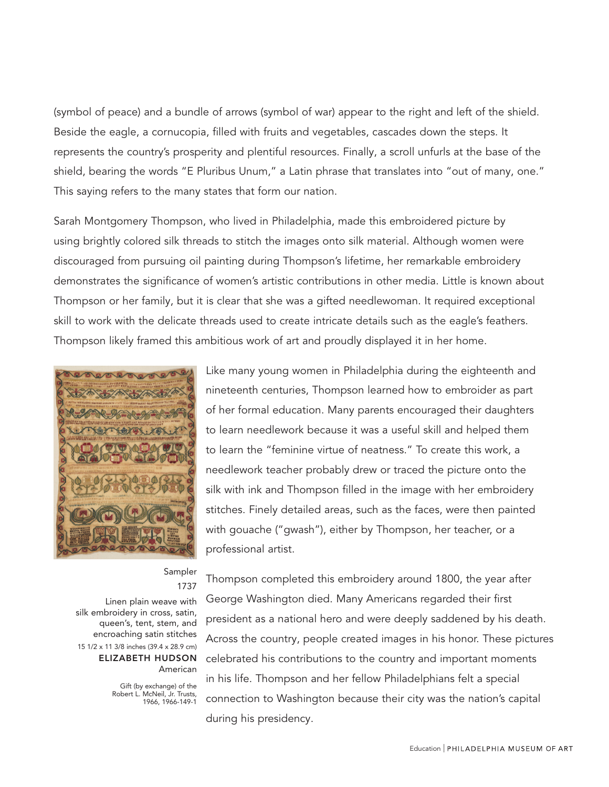(symbol of peace) and a bundle of arrows (symbol of war) appear to the right and left of the shield. Beside the eagle, a cornucopia, filled with fruits and vegetables, cascades down the steps. It represents the country's prosperity and plentiful resources. Finally, a scroll unfurls at the base of the shield, bearing the words "E Pluribus Unum," a Latin phrase that translates into "out of many, one." This saying refers to the many states that form our nation.

Sarah Montgomery Thompson, who lived in Philadelphia, made this embroidered picture by using brightly colored silk threads to stitch the images onto silk material. Although women were discouraged from pursuing oil painting during Thompson's lifetime, her remarkable embroidery demonstrates the significance of women's artistic contributions in other media. Little is known about Thompson or her family, but it is clear that she was a gifted needlewoman. It required exceptional skill to work with the delicate threads used to create intricate details such as the eagle's feathers. Thompson likely framed this ambitious work of art and proudly displayed it in her home.



# Sampler 1737

Linen plain weave with silk embroidery in cross, satin, queen's, tent, stem, and encroaching satin stitches 15 1/2 x 11 3/8 inches (39.4 x 28.9 cm) ELIZABETH HUDSON American

> Gift (by exchange) of the Robert L. McNeil, Jr. Trusts, 1966, 1966-149-1

Thompson completed this embroidery around 1800, the year after George Washington died. Many Americans regarded their first president as a national hero and were deeply saddened by his death. Across the country, people created images in his honor. These pictures celebrated his contributions to the country and important moments in his life. Thompson and her fellow Philadelphians felt a special connection to Washington because their city was the nation's capital during his presidency.

nineteenth centuries, Thompson learned how to embroider as part of her formal education. Many parents encouraged their daughters to learn needlework because it was a useful skill and helped them to learn the "feminine virtue of neatness." To create this work, a needlework teacher probably drew or traced the picture onto the silk with ink and Thompson filled in the image with her embroidery stitches. Finely detailed areas, such as the faces, were then painted with gouache ("gwash"), either by Thompson, her teacher, or a professional artist.

Like many young women in Philadelphia during the eighteenth and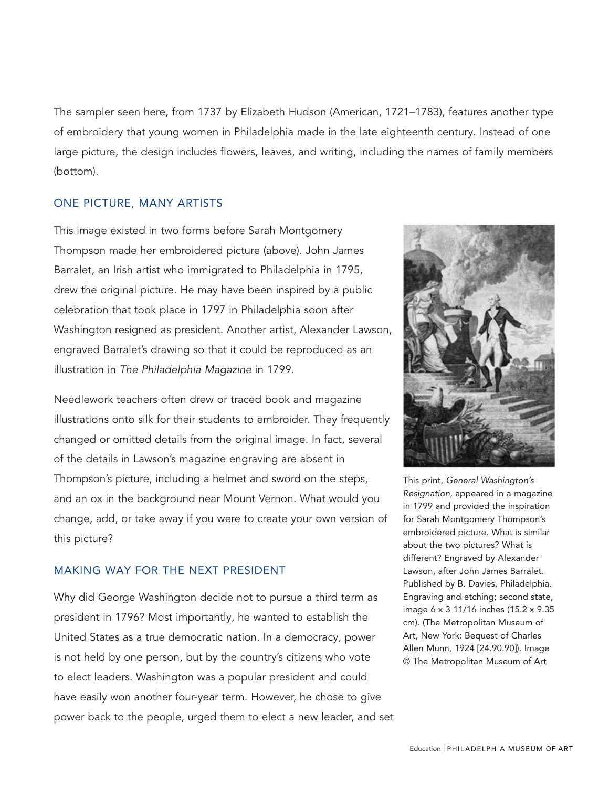The sampler seen here, from 1737 by Elizabeth Hudson (American, 1721–1783), features another type of embroidery that young women in Philadelphia made in the late eighteenth century. Instead of one large picture, the design includes flowers, leaves, and writing, including the names of family members (bottom).

# ONE PICTURE, MANY ARTISTS

This image existed in two forms before Sarah Montgomery Thompson made her embroidered picture (above). John James Barralet, an Irish artist who immigrated to Philadelphia in 1795, drew the original picture. He may have been inspired by a public celebration that took place in 1797 in Philadelphia soon after Washington resigned as president. Another artist, Alexander Lawson, engraved Barralet's drawing so that it could be reproduced as an illustration in The Philadelphia Magazine in 1799.

Needlework teachers often drew or traced book and magazine illustrations onto silk for their students to embroider. They frequently changed or omitted details from the original image. In fact, several of the details in Lawson's magazine engraving are absent in Thompson's picture, including a helmet and sword on the steps, and an ox in the background near Mount Vernon. What would you change, add, or take away if you were to create your own version of this picture?

## MAKING WAY FOR THE NEXT PRESIDENT

Why did George Washington decide not to pursue a third term as president in 1796? Most importantly, he wanted to establish the United States as a true democratic nation. In a democracy, power is not held by one person, but by the country's citizens who vote to elect leaders. Washington was a popular president and could have easily won another four-year term. However, he chose to give power back to the people, urged them to elect a new leader, and set



This print, *General Washington's Resignation*, appeared in a magazine in 1799 and provided the inspiration for Sarah Montgomery Thompson's embroidered picture. What is similar about the two pictures? What is different? Engraved by Alexander Lawson, after John James Barralet. Published by B. Davies, Philadelphia. Engraving and etching; second state, image 6 x 3 11/16 inches (15.2 x 9.35 cm). (The Metropolitan Museum of Art, New York: Bequest of Charles Allen Munn, 1924 [24.90.90]). Image © The Metropolitan Museum of Art